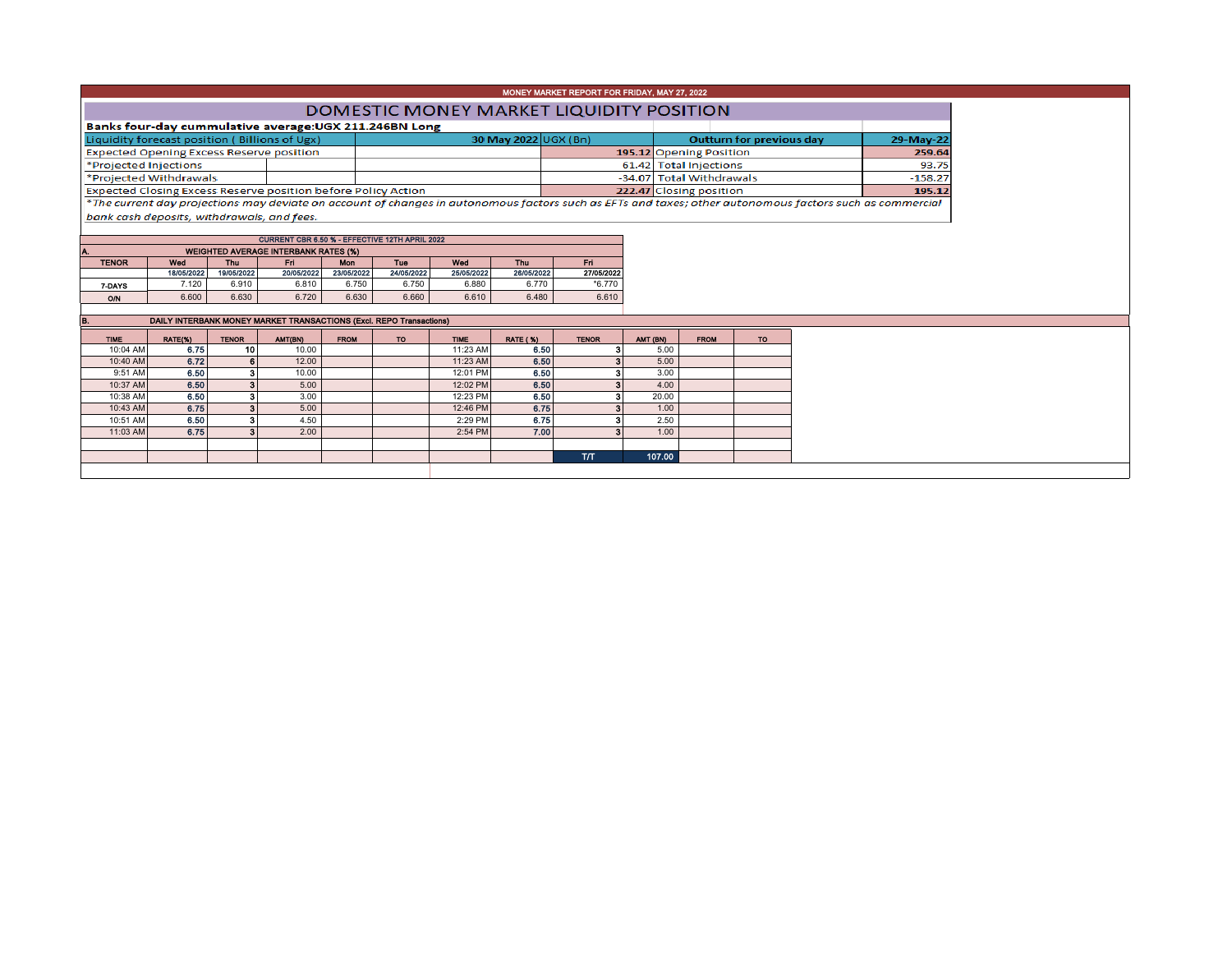## MONEY MARKET REPORT FOR FRIDAY, MAY 27, 2022

## **DOMESTIC MONEY MARKET LIQUIDITY POSITION**

| Banks four-day cummulative average: UGX 211.246BN Long                                                                                                   |  |                      |  |                                 |           |           |  |  |  |  |
|----------------------------------------------------------------------------------------------------------------------------------------------------------|--|----------------------|--|---------------------------------|-----------|-----------|--|--|--|--|
| Liquidity forecast position (Billions of Ugx)                                                                                                            |  | 30 May 2022 UGX (Bn) |  | <b>Outturn for previous day</b> | 29-May-22 |           |  |  |  |  |
| <b>Expected Opening Excess Reserve position</b>                                                                                                          |  |                      |  | 195.12 Opening Position         |           | 259.64    |  |  |  |  |
| *Projected Injections                                                                                                                                    |  |                      |  | 61.42 Total Injections          |           | 93.75     |  |  |  |  |
| *Projected Withdrawals                                                                                                                                   |  |                      |  | -34.07 Total Withdrawals        |           | $-158.27$ |  |  |  |  |
| <b>Expected Closing Excess Reserve position before Policy Action</b>                                                                                     |  |                      |  | 222.47 Closing position         |           | 195.12    |  |  |  |  |
| *The current day projections may deviate on account of changes in autonomous factors such as EETs and taxes: other autonomous factors such as commercial |  |                      |  |                                 |           |           |  |  |  |  |

The current day projections may deviate on account of changes in autonomous factors such as EFTs and taxes; other autonomc bank cash deposits, withdrawals, and fees.

| <b>CURRENT CBR 6.50 % - EFFECTIVE 12TH APRIL 2022</b> |                                             |            |            |            |            |            |            |            |            |  |  |  |  |  |  |
|-------------------------------------------------------|---------------------------------------------|------------|------------|------------|------------|------------|------------|------------|------------|--|--|--|--|--|--|
| Α.                                                    | <b>WEIGHTED AVERAGE INTERBANK RATES (%)</b> |            |            |            |            |            |            |            |            |  |  |  |  |  |  |
|                                                       | <b>TENOR</b>                                | Wed        | <b>Thu</b> | Fri        | <b>Mon</b> |            | Wed        | <b>Thu</b> | Fri        |  |  |  |  |  |  |
|                                                       |                                             | 18/05/2022 | 19/05/2022 | 20/05/2022 | 23/05/2022 | 24/05/2022 | 25/05/2022 | 26/05/2022 | 27/05/2022 |  |  |  |  |  |  |
|                                                       | 7-DAYS                                      | 7.120      | 6.910      | 6.810      | 6.750      | 6.750      | 6.880      | 6.770      | $*6.770$   |  |  |  |  |  |  |
|                                                       | <b>O/N</b>                                  | 6.600      | 6.630      | 6.720      | 6.630      | 6.660      | 6.610      | 6.480      | 6.610      |  |  |  |  |  |  |
|                                                       |                                             |            |            |            |            |            |            |            |            |  |  |  |  |  |  |

TIME | RATE(%) | TENOR | AMT(BN) | FROM | TO | TIME | RATE(%) | TENOR | AMT(BN) | FROM | TO 10:04 AM 6.75 6.75 10 10.00 10.00 10.00 10:23 AM 6.50 3 5.00 10:40 AM 6.72 6.72 6 12.00 12.00 12.00 12.00 11:23 AM 6.50 3 5.00 9:51 AM| 6.50| 3| 10.00| | | 12:01 PM| 6.50| 3| 3.00 10:37 AM **6.50 6.50 12:02 PM 6.50 3 5.00 12:02 PM** 6.50 50 3 4.00 10:38 AM **6.50 3 3.00 12:23 PM 6.50 3** 3.00 10:43 AM 6.75 6.75 3 5.00 12:46 PM 6.75 3 1.00 10:51 AM | 6.50 | 3 | 4.50 | | 2:29 PM | 6.75 | 3 | 2.50 11:03 AM 6.75 8.75 3 2.00 1 2.00 3 2.54 PM 7.00 3 1.00 T/T 107.00 DAILY INTERBANK MONEY MARKET TRANSACTIONS (Excl. REPO Transactions)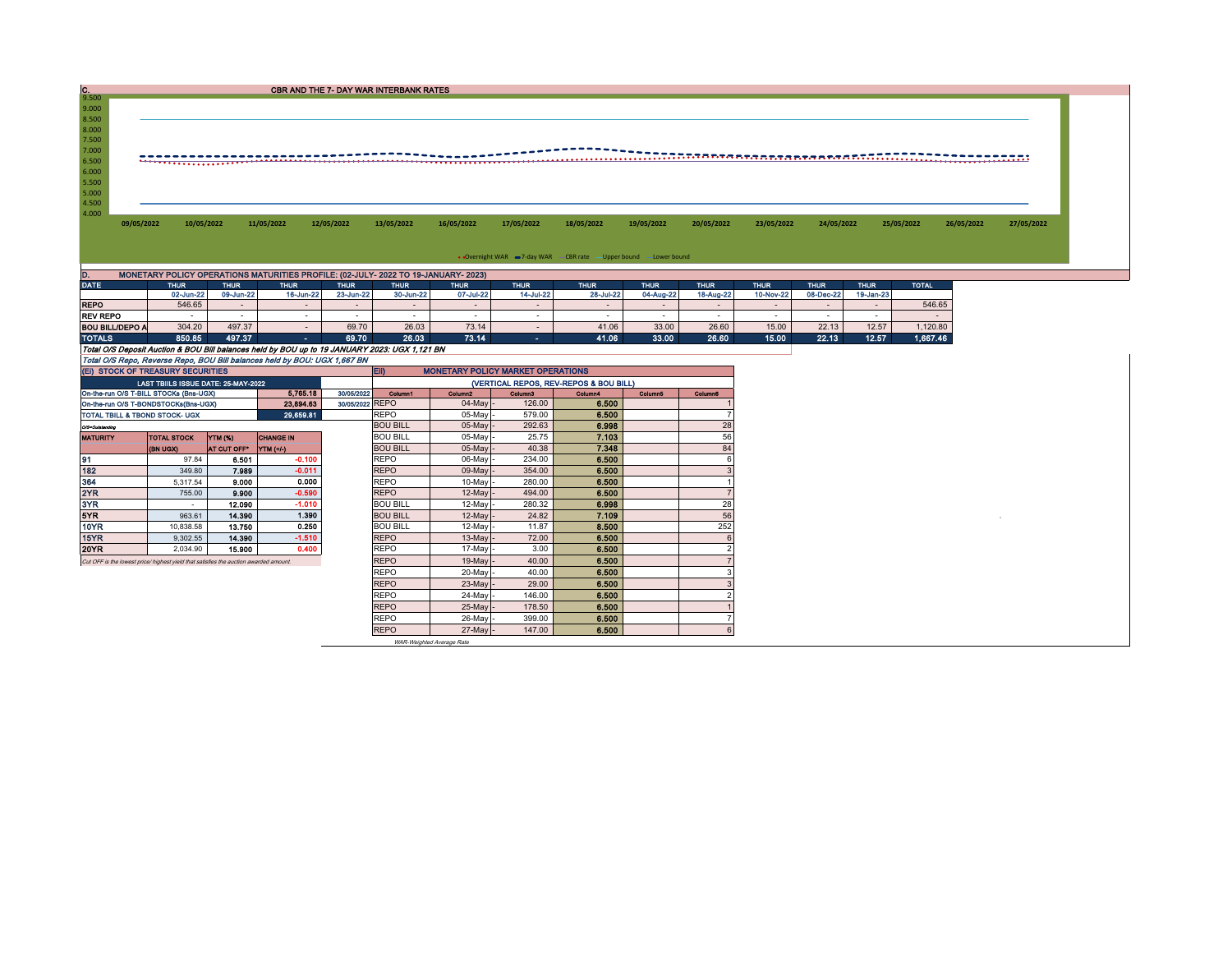| $\frac{C}{9.500}$                                                                                                                                                          | CBR AND THE 7- DAY WAR INTERBANK RATES                                             |             |                |             |             |             |             |                                                               |                          |             |             |             |             |              |            |            |
|----------------------------------------------------------------------------------------------------------------------------------------------------------------------------|------------------------------------------------------------------------------------|-------------|----------------|-------------|-------------|-------------|-------------|---------------------------------------------------------------|--------------------------|-------------|-------------|-------------|-------------|--------------|------------|------------|
| 9.000                                                                                                                                                                      |                                                                                    |             |                |             |             |             |             |                                                               |                          |             |             |             |             |              |            |            |
| 8.500<br>8.000<br>7.500<br>7.000<br>6.500<br>6.000                                                                                                                         |                                                                                    |             |                |             |             |             |             |                                                               |                          |             |             |             |             |              |            |            |
| 5.500<br>5.000<br>4.500<br>4.000<br>09/05/2022                                                                                                                             | 10/05/2022                                                                         |             | 11/05/2022     | 12/05/2022  | 13/05/2022  | 16/05/2022  | 17/05/2022  | 18/05/2022                                                    | 19/05/2022               | 20/05/2022  | 23/05/2022  | 24/05/2022  |             | 25/05/2022   | 26/05/2022 | 27/05/2022 |
|                                                                                                                                                                            |                                                                                    |             |                |             |             |             |             | • Overnight WAR =7-day WAR CBR rate -Upper bound -Lower bound |                          |             |             |             |             |              |            |            |
| D.                                                                                                                                                                         | MONETARY POLICY OPERATIONS MATURITIES PROFILE: (02-JULY- 2022 TO 19-JANUARY- 2023) |             |                |             |             |             |             |                                                               |                          |             |             |             |             |              |            |            |
| <b>DATE</b>                                                                                                                                                                | <b>THUR</b>                                                                        | <b>THUR</b> | <b>THUR</b>    | <b>THUR</b> | <b>THUR</b> | <b>THUR</b> | <b>THUR</b> | <b>THUR</b>                                                   | <b>THUR</b>              | <b>THUR</b> | <b>THUR</b> | <b>THUR</b> | <b>THUR</b> | <b>TOTAL</b> |            |            |
|                                                                                                                                                                            | 02-Jun-22                                                                          | 09-Jun-22   | 16-Jun-22      | 23-Jun-22   | 30-Jun-22   | 07-Jul-22   | 14-Jul-22   | 28-Jul-22                                                     | 04-Aug-22                | 18-Aug-22   | 10-Nov-22   | 08-Dec-22   | 19-Jan-23   |              |            |            |
| <b>REPO</b>                                                                                                                                                                | 546.65                                                                             |             |                |             |             | $\sim$      |             | $\overline{\phantom{a}}$                                      | $\overline{\phantom{a}}$ |             | $\sim$      |             | $\sim$      | 546.65       |            |            |
| <b>REV REPO</b>                                                                                                                                                            |                                                                                    |             |                |             |             |             | ۰.          |                                                               |                          |             |             |             |             |              |            |            |
| <b>BOU BILL/DEPO A</b>                                                                                                                                                     | 304.20                                                                             | 497.37      | $\sim$         | 69.70       | 26.03       | 73.14       | $\sim$      | 41.06                                                         | 33.00                    | 26.60       | 15.00       | 22.13       | 12.57       | 1,120.80     |            |            |
| <b>TOTALS</b>                                                                                                                                                              | 850.85                                                                             | 497.37      | <b>Section</b> | 69.70       | 26.03       | 73.14       | on.         | 41.06                                                         | 33.00                    | 26.60       | 15.00       | 22.13       | 12.57       | 1,667.46     |            |            |
| Total O/S Deposit Auction & BOU Bill balances held by BOU up to 19 JANUARY 2023: UGX 1,121 BN<br>Total OIP Dana, Dougens Dana, DOU Bill belanges hold by DOU; UOV 4 887 PM |                                                                                    |             |                |             |             |             |             |                                                               |                          |             |             |             |             |              |            |            |

O/S Repo, Reverse Repo, BOU Bill balances held by BOU: UGX 1,667 BN

| TOTAL U/S RODO, ROVORSO RODO, BUU BIII DAIANCOS NOID DY BUU. UGA 1,007 BIN |                                                                                       |                    |                  |                 |                                                        |                     |                     |                                        |                |         |  |  |
|----------------------------------------------------------------------------|---------------------------------------------------------------------------------------|--------------------|------------------|-----------------|--------------------------------------------------------|---------------------|---------------------|----------------------------------------|----------------|---------|--|--|
|                                                                            | (EI) STOCK OF TREASURY SECURITIES                                                     |                    |                  |                 | <b>EID</b><br><b>MONETARY POLICY MARKET OPERATIONS</b> |                     |                     |                                        |                |         |  |  |
|                                                                            | LAST TBIILS ISSUE DATE: 25-MAY-2022                                                   |                    |                  |                 |                                                        |                     |                     | (VERTICAL REPOS, REV-REPOS & BOU BILL) |                |         |  |  |
|                                                                            | On-the-run O/S T-BILL STOCKs (Bns-UGX)                                                |                    | 5.765.18         | 30/05/2022      | Column1                                                | Column <sub>2</sub> | Column <sub>3</sub> | Column4                                | <b>Column5</b> | Column6 |  |  |
|                                                                            | On-the-run O/S T-BONDSTOCKs(Bns-UGX)                                                  |                    | 23.894.63        | 30/05/2022 REPO |                                                        | 04-May              | 126.00              | 6.500                                  |                |         |  |  |
|                                                                            | <b>TOTAL TBILL &amp; TBOND STOCK- UGX</b>                                             |                    | 29,659.81        |                 | <b>REPO</b>                                            | 05-May              | 579.00              | 6.500                                  |                |         |  |  |
| O/3=Outstanding                                                            |                                                                                       |                    |                  |                 | <b>BOU BILL</b>                                        | 05-May              | 292.63              | 6.998                                  |                | 28      |  |  |
| <b>MATURITY</b>                                                            | <b>TOTAL STOCK</b>                                                                    | YTM (%)            | <b>CHANGE IN</b> |                 | <b>BOU BILL</b>                                        | 05-May              | 25.75               | 7.103                                  |                | 56      |  |  |
|                                                                            | <b>(BN UGX)</b>                                                                       | <b>AT CUT OFF*</b> | YTM (+/-)        |                 | <b>BOU BILL</b>                                        | $05$ -May           | 40.38               | 7.348                                  |                | 84      |  |  |
| 91                                                                         | 97.84                                                                                 | 6.501              | $-0.100$         |                 | <b>REPO</b>                                            | 06-May              | 234.00              | 6.500                                  |                |         |  |  |
| 182                                                                        | 349.80                                                                                | 7.989              | $-0.011$         |                 | <b>REPO</b>                                            | 09-May              | 354.00              | 6.500                                  |                |         |  |  |
| 364                                                                        | 5,317.54                                                                              | 9.000              | 0.000            |                 | <b>REPO</b>                                            | $10-May$            | 280.00              | 6.500                                  |                |         |  |  |
| 2YR                                                                        | 755.00                                                                                | 9.900              | $-0.590$         |                 | <b>REPO</b>                                            | 12-May              | 494.00              | 6.500                                  |                |         |  |  |
| 3YR                                                                        |                                                                                       | 12.090             | $-1.010$         |                 | <b>BOU BILL</b>                                        | 12-May              | 280.32              | 6,998                                  |                | 28      |  |  |
| 5YR                                                                        | 963.61                                                                                | 14,390             | 1.390            |                 | <b>BOU BILL</b>                                        | 12-May              | 24.82               | 7.109                                  |                | 56      |  |  |
| <b>10YR</b>                                                                | 10.838.58                                                                             | 13.750             | 0.250            |                 | <b>BOU BILL</b>                                        | 12-May              | 11.87               | 8.500                                  |                | 252     |  |  |
| 15YR                                                                       | 9,302.55                                                                              | 14.390             | $-1.510$         |                 | <b>REPO</b>                                            | $13-Mav$            | 72.00               | 6.500                                  |                |         |  |  |
| 20YR                                                                       | 2.034.90                                                                              | 15,900             | 0.400            |                 | <b>REPO</b>                                            | 17-May              | 3.00                | 6.500                                  |                |         |  |  |
|                                                                            | Cut OFF is the lowest price/ highest yield that satisfies the auction awarded amount. |                    |                  |                 | <b>REPO</b>                                            | 19-May              | 40.00               | 6.500                                  |                |         |  |  |
|                                                                            |                                                                                       |                    |                  |                 | <b>REPO</b>                                            | $20$ -May           | 40.00               | 6.500                                  |                |         |  |  |
|                                                                            |                                                                                       |                    |                  |                 | <b>REPO</b>                                            | 23-May              | 29.00               | 6.500                                  |                |         |  |  |
|                                                                            |                                                                                       |                    |                  |                 | <b>REPO</b>                                            | 24-May              | 146.00              | 6.500                                  |                |         |  |  |
|                                                                            |                                                                                       |                    |                  |                 | <b>REPO</b>                                            | $25$ -May           | 178.50              | 6,500                                  |                |         |  |  |
|                                                                            |                                                                                       |                    |                  |                 | <b>REPO</b>                                            | 26-May              | 399.00              | 6,500                                  |                |         |  |  |
|                                                                            |                                                                                       |                    |                  |                 | <b>REPO</b>                                            | $27$ -May           | 147.00              | 6.500                                  |                |         |  |  |

WAR-Weighted Average Rate